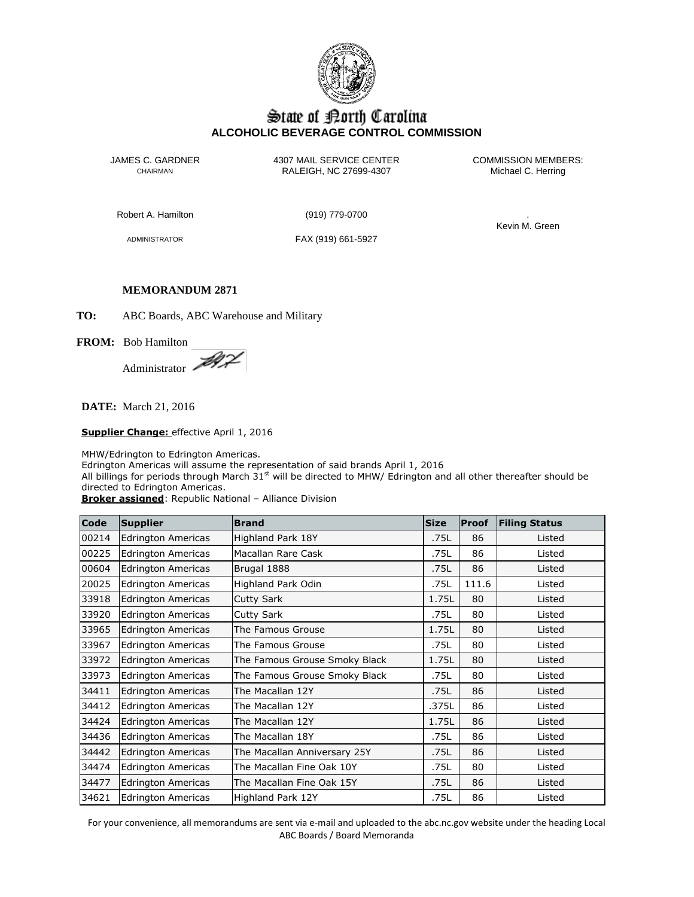

# State of Borth Carolina **ALCOHOLIC BEVERAGE CONTROL COMMISSION**

JAMES C. GARDNER 4307 MAIL SERVICE CENTER<br>CHAIRMAN CHAIRMAN RALEIGH, NC 27699-4307 Michael C. Herring CHAIRMAN RALEIGH, NC 27699-4307

Robert A. Hamilton (919) 779-0700 .

ADMINISTRATOR FAX (919) 661-5927

Kevin M. Green

# **MEMORANDUM 2871**

**TO:** ABC Boards, ABC Warehouse and Military

**FROM:** Bob Hamilton

Administrator

**DATE:** March 21, 2016

**Supplier Change:** effective April 1, 2016

MHW/Edrington to Edrington Americas.

Edrington Americas will assume the representation of said brands April 1, 2016

All billings for periods through March  $31<sup>st</sup>$  will be directed to MHW/ Edrington and all other thereafter should be directed to Edrington Americas.

**Broker assigned**: Republic National – Alliance Division

| Code  | <b>Supplier</b>           | <b>Brand</b>                  | <b>Size</b> | <b>Proof</b> | <b>Filing Status</b> |
|-------|---------------------------|-------------------------------|-------------|--------------|----------------------|
| 00214 | <b>Edrington Americas</b> | Highland Park 18Y             | .75L        | 86           | Listed               |
| 00225 | <b>Edrington Americas</b> | Macallan Rare Cask            | .75L        | 86           | Listed               |
| 00604 | <b>Edrington Americas</b> | Brugal 1888                   | .75L        | 86           | Listed               |
| 20025 | <b>Edrington Americas</b> | Highland Park Odin            | .75L        | 111.6        | Listed               |
| 33918 | <b>Edrington Americas</b> | Cutty Sark                    | 1.75L       | 80           | Listed               |
| 33920 | <b>Edrington Americas</b> | Cutty Sark                    | .75L        | 80           | Listed               |
| 33965 | <b>Edrington Americas</b> | The Famous Grouse             | 1.75L       | 80           | Listed               |
| 33967 | <b>Edrington Americas</b> | The Famous Grouse             | .75L        | 80           | Listed               |
| 33972 | <b>Edrington Americas</b> | The Famous Grouse Smoky Black | 1.75L       | 80           | Listed               |
| 33973 | <b>Edrington Americas</b> | The Famous Grouse Smoky Black | .75L        | 80           | Listed               |
| 34411 | <b>Edrington Americas</b> | The Macallan 12Y              | .75L        | 86           | Listed               |
| 34412 | <b>Edrington Americas</b> | The Macallan 12Y              | .375L       | 86           | Listed               |
| 34424 | <b>Edrington Americas</b> | The Macallan 12Y              | 1.75L       | 86           | Listed               |
| 34436 | <b>Edrington Americas</b> | The Macallan 18Y              | .75L        | 86           | Listed               |
| 34442 | <b>Edrington Americas</b> | The Macallan Anniversary 25Y  | .75L        | 86           | Listed               |
| 34474 | <b>Edrington Americas</b> | The Macallan Fine Oak 10Y     | .75L        | 80           | Listed               |
| 34477 | <b>Edrington Americas</b> | The Macallan Fine Oak 15Y     | .75L        | 86           | Listed               |
| 34621 | <b>Edrington Americas</b> | Highland Park 12Y             | .75L        | 86           | Listed               |

For your convenience, all memorandums are sent via e-mail and uploaded to the abc.nc.gov website under the heading Local ABC Boards / Board Memoranda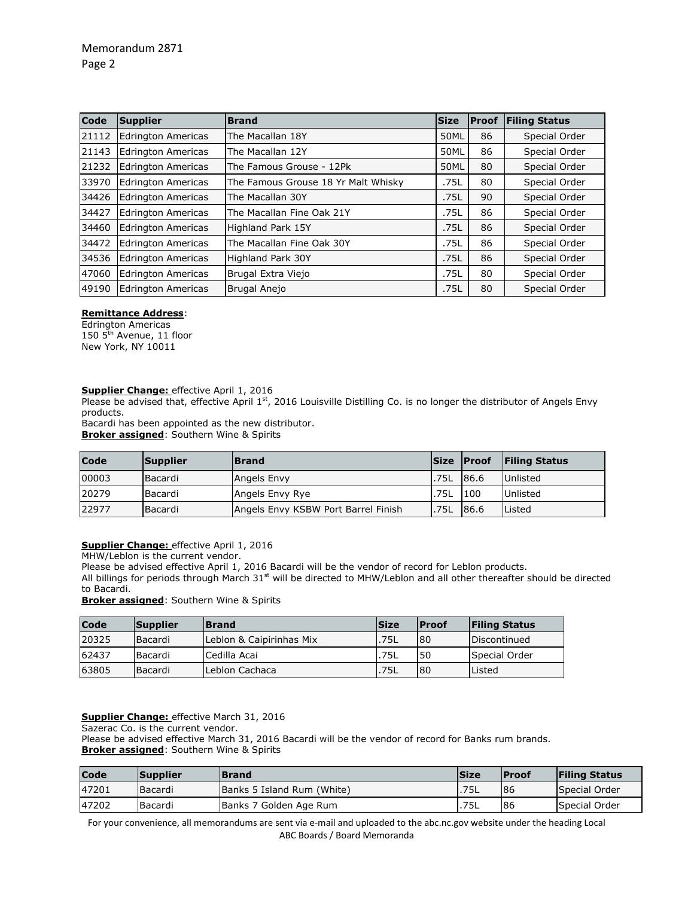| <b>Code</b> | Supplier                  | <b>Brand</b>                        | <b>Size</b> | <b>Proof</b> | <b>Filing Status</b> |
|-------------|---------------------------|-------------------------------------|-------------|--------------|----------------------|
| 21112       | <b>Edrington Americas</b> | The Macallan 18Y                    | 50ML        | 86           | Special Order        |
| 21143       | <b>Edrington Americas</b> | The Macallan 12Y                    | 50ML        | 86           | Special Order        |
| 21232       | <b>Edrington Americas</b> | The Famous Grouse - 12Pk            | 50ML        | 80           | Special Order        |
| 33970       | <b>Edrington Americas</b> | The Famous Grouse 18 Yr Malt Whisky | .75L        | 80           | Special Order        |
| 34426       | Edrington Americas        | The Macallan 30Y                    | .75L        | 90           | Special Order        |
| 34427       | Edrington Americas        | The Macallan Fine Oak 21Y           | .75L        | 86           | Special Order        |
| 34460       | <b>Edrington Americas</b> | Highland Park 15Y                   | .75L        | 86           | Special Order        |
| 34472       | Edrington Americas        | The Macallan Fine Oak 30Y           | .75L        | 86           | Special Order        |
| 34536       | Edrington Americas        | <b>Highland Park 30Y</b>            | .75L        | 86           | Special Order        |
| 47060       | <b>Edrington Americas</b> | Brugal Extra Viejo                  | .75L        | 80           | Special Order        |
| 49190       | <b>Edrington Americas</b> | <b>Brugal Anejo</b>                 | .75L        | 80           | Special Order        |

#### **Remittance Address**:

Edrington Americas 150 5<sup>th</sup> Avenue, 11 floor New York, NY 10011

#### **Supplier Change:** effective April 1, 2016

Please be advised that, effective April 1<sup>st</sup>, 2016 Louisville Distilling Co. is no longer the distributor of Angels Envy products.

Bacardi has been appointed as the new distributor.

**Broker assigned**: Southern Wine & Spirits

| <b>Code</b> | Supplier       | <b>Brand</b>                        |      | Size Proof | <b>Filing Status</b> |
|-------------|----------------|-------------------------------------|------|------------|----------------------|
| 00003       | <b>Bacardi</b> | Angels Envy                         | .75L | 86.6       | <b>Unlisted</b>      |
| 20279       | Bacardi        | Angels Envy Rye                     | .75L | 100        | Unlisted             |
| 22977       | Bacardi        | Angels Envy KSBW Port Barrel Finish | .75L | 86.6       | Listed               |

### **Supplier Change:** effective April 1, 2016

MHW/Leblon is the current vendor.

Please be advised effective April 1, 2016 Bacardi will be the vendor of record for Leblon products.

All billings for periods through March  $31<sup>st</sup>$  will be directed to MHW/Leblon and all other thereafter should be directed to Bacardi.

**Broker assigned**: Southern Wine & Spirits

| Code  | <b>Supplier</b> | <b>Brand</b>             | <b>Size</b> | <b>IProof</b> | <b>Filing Status</b> |
|-------|-----------------|--------------------------|-------------|---------------|----------------------|
| 20325 | Bacardi         | Leblon & Caipirinhas Mix | .75L        | <b>80</b>     | <b>IDiscontinued</b> |
| 62437 | Bacardi         | lCedilla Acai            | .75L        | l 50          | Special Order        |
| 63805 | <b>Bacardi</b>  | Leblon Cachaca           | 75L         | 80            | <b>Listed</b>        |

#### **Supplier Change:** effective March 31, 2016

Sazerac Co. is the current vendor.

Please be advised effective March 31, 2016 Bacardi will be the vendor of record for Banks rum brands. **Broker assigned**: Southern Wine & Spirits

| Code  | <b>Supplier</b> | <b>Brand</b>               | <b>Size</b> | <b>IProof</b> | <b>Filing Status</b> |
|-------|-----------------|----------------------------|-------------|---------------|----------------------|
| 47201 | Bacardi         | Banks 5 Island Rum (White) | .75L        | 86            | Special Order        |
| 47202 | Bacardi         | Banks 7 Golden Age Rum     | .75L        | 86            | Special Order        |

For your convenience, all memorandums are sent via e-mail and uploaded to the abc.nc.gov website under the heading Local ABC Boards / Board Memoranda